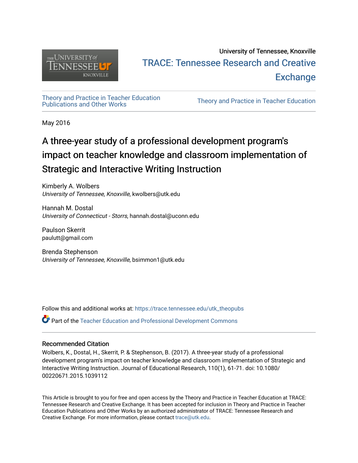

# University of Tennessee, Knoxville TRACE: T[ennessee Research and Cr](https://trace.tennessee.edu/)eative **Exchange**

# [Theory and Practice in Teacher Education](https://trace.tennessee.edu/utk_theopubs)

Theory and Practice in Teacher Education

May 2016

# A three-year study of a professional development program's impact on teacher knowledge and classroom implementation of Strategic and Interactive Writing Instruction

Kimberly A. Wolbers University of Tennessee, Knoxville, kwolbers@utk.edu

Hannah M. Dostal University of Connecticut - Storrs, hannah.dostal@uconn.edu

Paulson Skerrit paulutt@gmail.com

Brenda Stephenson University of Tennessee, Knoxville, bsimmon1@utk.edu

Follow this and additional works at: [https://trace.tennessee.edu/utk\\_theopubs](https://trace.tennessee.edu/utk_theopubs?utm_source=trace.tennessee.edu%2Futk_theopubs%2F3&utm_medium=PDF&utm_campaign=PDFCoverPages)

Part of the [Teacher Education and Professional Development Commons](https://network.bepress.com/hgg/discipline/803?utm_source=trace.tennessee.edu%2Futk_theopubs%2F3&utm_medium=PDF&utm_campaign=PDFCoverPages) 

#### Recommended Citation

Wolbers, K., Dostal, H., Skerrit, P. & Stephenson, B. (2017). A three-year study of a professional development program's impact on teacher knowledge and classroom implementation of Strategic and Interactive Writing Instruction. Journal of Educational Research, 110(1), 61-71. doi: 10.1080/ 00220671.2015.1039112

This Article is brought to you for free and open access by the Theory and Practice in Teacher Education at TRACE: Tennessee Research and Creative Exchange. It has been accepted for inclusion in Theory and Practice in Teacher Education Publications and Other Works by an authorized administrator of TRACE: Tennessee Research and Creative Exchange. For more information, please contact [trace@utk.edu](mailto:trace@utk.edu).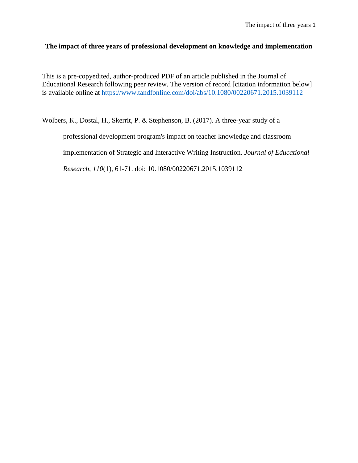#### **The impact of three years of professional development on knowledge and implementation**

This is a pre-copyedited, author-produced PDF of an article published in the Journal of Educational Research following peer review. The version of record [citation information below] is available online at https://www.tandfonline.com/doi/abs/10.1080/00220671.2015.1039112

Wolbers, K., Dostal, H., Skerrit, P. & Stephenson, B. (2017). A three-year study of a professional development program's impact on teacher knowledge and classroom implementation of Strategic and Interactive Writing Instruction. *Journal of Educational Research, 110*(1), 61-71. doi: 10.1080/00220671.2015.1039112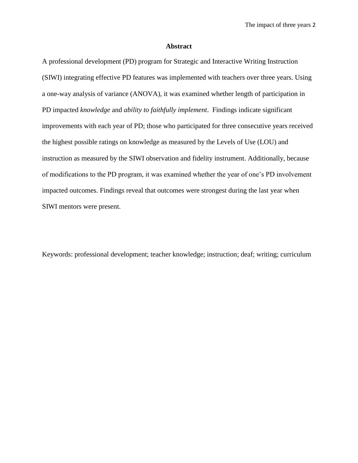#### **Abstract**

A professional development (PD) program for Strategic and Interactive Writing Instruction (SIWI) integrating effective PD features was implemented with teachers over three years. Using a one-way analysis of variance (ANOVA), it was examined whether length of participation in PD impacted *knowledge* and *ability to faithfully implement*. Findings indicate significant improvements with each year of PD; those who participated for three consecutive years received the highest possible ratings on knowledge as measured by the Levels of Use (LOU) and instruction as measured by the SIWI observation and fidelity instrument. Additionally, because of modifications to the PD program, it was examined whether the year of one's PD involvement impacted outcomes. Findings reveal that outcomes were strongest during the last year when SIWI mentors were present.

Keywords: professional development; teacher knowledge; instruction; deaf; writing; curriculum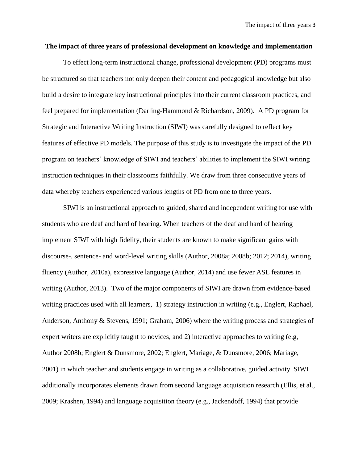#### **The impact of three years of professional development on knowledge and implementation**

To effect long-term instructional change, professional development (PD) programs must be structured so that teachers not only deepen their content and pedagogical knowledge but also build a desire to integrate key instructional principles into their current classroom practices, and feel prepared for implementation (Darling-Hammond & Richardson, 2009). A PD program for Strategic and Interactive Writing Instruction (SIWI) was carefully designed to reflect key features of effective PD models. The purpose of this study is to investigate the impact of the PD program on teachers' knowledge of SIWI and teachers' abilities to implement the SIWI writing instruction techniques in their classrooms faithfully. We draw from three consecutive years of data whereby teachers experienced various lengths of PD from one to three years.

SIWI is an instructional approach to guided, shared and independent writing for use with students who are deaf and hard of hearing. When teachers of the deaf and hard of hearing implement SIWI with high fidelity, their students are known to make significant gains with discourse-, sentence- and word-level writing skills (Author, 2008a; 2008b; 2012; 2014), writing fluency (Author, 2010a), expressive language (Author, 2014) and use fewer ASL features in writing (Author, 2013). Two of the major components of SIWI are drawn from evidence-based writing practices used with all learners, 1) strategy instruction in writing (e.g., Englert, Raphael, Anderson, Anthony & Stevens, 1991; Graham, 2006) where the writing process and strategies of expert writers are explicitly taught to novices, and 2) interactive approaches to writing (e.g, Author 2008b; Englert & Dunsmore, 2002; Englert, Mariage, & Dunsmore, 2006; Mariage, 2001) in which teacher and students engage in writing as a collaborative, guided activity. SIWI additionally incorporates elements drawn from second language acquisition research (Ellis, et al., 2009; Krashen, 1994) and language acquisition theory (e.g., Jackendoff, 1994) that provide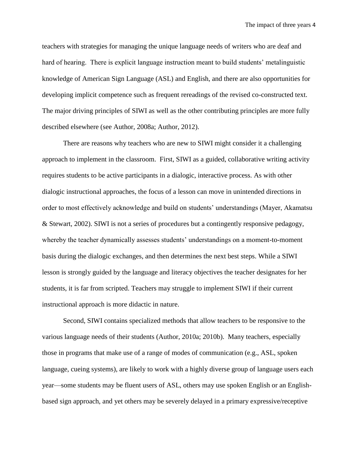teachers with strategies for managing the unique language needs of writers who are deaf and hard of hearing. There is explicit language instruction meant to build students' metalinguistic knowledge of American Sign Language (ASL) and English, and there are also opportunities for developing implicit competence such as frequent rereadings of the revised co-constructed text. The major driving principles of SIWI as well as the other contributing principles are more fully described elsewhere (see Author, 2008a; Author, 2012).

There are reasons why teachers who are new to SIWI might consider it a challenging approach to implement in the classroom. First, SIWI as a guided, collaborative writing activity requires students to be active participants in a dialogic, interactive process. As with other dialogic instructional approaches, the focus of a lesson can move in unintended directions in order to most effectively acknowledge and build on students' understandings (Mayer, Akamatsu & Stewart, 2002). SIWI is not a series of procedures but a contingently responsive pedagogy, whereby the teacher dynamically assesses students' understandings on a moment-to-moment basis during the dialogic exchanges, and then determines the next best steps. While a SIWI lesson is strongly guided by the language and literacy objectives the teacher designates for her students, it is far from scripted. Teachers may struggle to implement SIWI if their current instructional approach is more didactic in nature.

Second, SIWI contains specialized methods that allow teachers to be responsive to the various language needs of their students (Author, 2010a; 2010b). Many teachers, especially those in programs that make use of a range of modes of communication (e.g., ASL, spoken language, cueing systems), are likely to work with a highly diverse group of language users each year—some students may be fluent users of ASL, others may use spoken English or an Englishbased sign approach, and yet others may be severely delayed in a primary expressive/receptive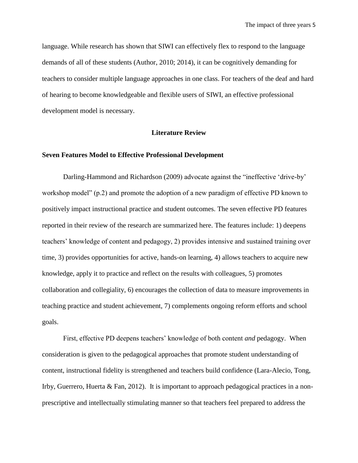language. While research has shown that SIWI can effectively flex to respond to the language demands of all of these students (Author, 2010; 2014), it can be cognitively demanding for teachers to consider multiple language approaches in one class. For teachers of the deaf and hard of hearing to become knowledgeable and flexible users of SIWI, an effective professional development model is necessary.

#### **Literature Review**

#### **Seven Features Model to Effective Professional Development**

Darling-Hammond and Richardson (2009) advocate against the "ineffective 'drive-by' workshop model" (p.2) and promote the adoption of a new paradigm of effective PD known to positively impact instructional practice and student outcomes. The seven effective PD features reported in their review of the research are summarized here. The features include: 1) deepens teachers' knowledge of content and pedagogy, 2) provides intensive and sustained training over time, 3) provides opportunities for active, hands-on learning, 4) allows teachers to acquire new knowledge, apply it to practice and reflect on the results with colleagues, 5) promotes collaboration and collegiality, 6) encourages the collection of data to measure improvements in teaching practice and student achievement, 7) complements ongoing reform efforts and school goals.

First, effective PD deepens teachers' knowledge of both content *and* pedagogy. When consideration is given to the pedagogical approaches that promote student understanding of content, instructional fidelity is strengthened and teachers build confidence (Lara-Alecio, Tong, Irby, Guerrero, Huerta & Fan, 2012). It is important to approach pedagogical practices in a nonprescriptive and intellectually stimulating manner so that teachers feel prepared to address the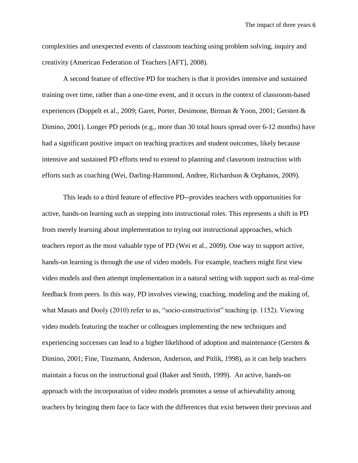complexities and unexpected events of classroom teaching using problem solving, inquiry and creativity (American Federation of Teachers [AFT], 2008).

A second feature of effective PD for teachers is that it provides intensive and sustained training over time, rather than a one-time event, and it occurs in the context of classroom-based experiences (Doppelt et al., 2009; Garet, Porter, Desimone, Birman & Yoon, 2001; Gersten & Dimino, 2001). Longer PD periods (e.g., more than 30 total hours spread over 6-12 months) have had a significant positive impact on teaching practices and student outcomes, likely because intensive and sustained PD efforts tend to extend to planning and classroom instruction with efforts such as coaching (Wei, Darling-Hammond, Andree, Richardson & Orphanos, 2009).

This leads to a third feature of effective PD--provides teachers with opportunities for active, hands-on learning such as stepping into instructional roles. This represents a shift in PD from merely learning about implementation to trying out instructional approaches, which teachers report as the most valuable type of PD (Wei et al., 2009). One way to support active, hands-on learning is through the use of video models. For example, teachers might first view video models and then attempt implementation in a natural setting with support such as real-time feedback from peers. In this way, PD involves viewing, coaching, modeling and the making of, what Masats and Dooly (2010) refer to as, "socio-constructivist" teaching (p. 1152). Viewing video models featuring the teacher or colleagues implementing the new techniques and experiencing successes can lead to a higher likelihood of adoption and maintenance (Gersten & Dimino, 2001; Fine, Tinzmann, Anderson, Anderson, and Pitlik, 1998), as it can help teachers maintain a focus on the instructional goal (Baker and Smith, 1999). An active, hands-on approach with the incorporation of video models promotes a sense of achievability among teachers by bringing them face to face with the differences that exist between their previous and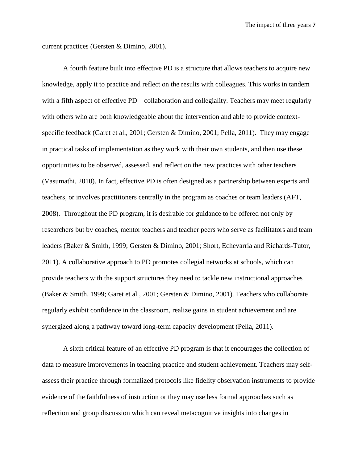current practices (Gersten & Dimino, 2001).

A fourth feature built into effective PD is a structure that allows teachers to acquire new knowledge, apply it to practice and reflect on the results with colleagues. This works in tandem with a fifth aspect of effective PD—collaboration and collegiality. Teachers may meet regularly with others who are both knowledgeable about the intervention and able to provide contextspecific feedback (Garet et al., 2001; Gersten & Dimino, 2001; Pella, 2011). They may engage in practical tasks of implementation as they work with their own students, and then use these opportunities to be observed, assessed, and reflect on the new practices with other teachers (Vasumathi, 2010). In fact, effective PD is often designed as a partnership between experts and teachers, or involves practitioners centrally in the program as coaches or team leaders (AFT, 2008). Throughout the PD program, it is desirable for guidance to be offered not only by researchers but by coaches, mentor teachers and teacher peers who serve as facilitators and team leaders (Baker & Smith, 1999; Gersten & Dimino, 2001; Short, Echevarria and Richards-Tutor, 2011). A collaborative approach to PD promotes collegial networks at schools, which can provide teachers with the support structures they need to tackle new instructional approaches (Baker & Smith, 1999; Garet et al., 2001; Gersten & Dimino, 2001). Teachers who collaborate regularly exhibit confidence in the classroom, realize gains in student achievement and are synergized along a pathway toward long-term capacity development (Pella, 2011).

A sixth critical feature of an effective PD program is that it encourages the collection of data to measure improvements in teaching practice and student achievement. Teachers may selfassess their practice through formalized protocols like fidelity observation instruments to provide evidence of the faithfulness of instruction or they may use less formal approaches such as reflection and group discussion which can reveal metacognitive insights into changes in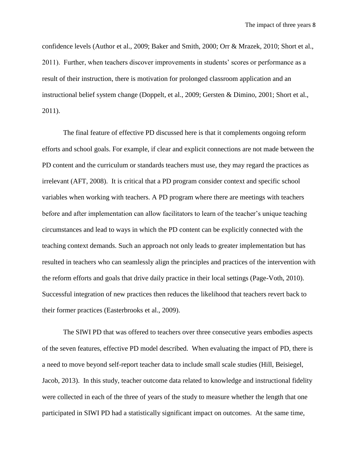confidence levels (Author et al., 2009; Baker and Smith, 2000; Orr & Mrazek, 2010; Short et al., 2011). Further, when teachers discover improvements in students' scores or performance as a result of their instruction, there is motivation for prolonged classroom application and an instructional belief system change (Doppelt, et al., 2009; Gersten & Dimino, 2001; Short et al., 2011).

The final feature of effective PD discussed here is that it complements ongoing reform efforts and school goals. For example, if clear and explicit connections are not made between the PD content and the curriculum or standards teachers must use, they may regard the practices as irrelevant (AFT, 2008). It is critical that a PD program consider context and specific school variables when working with teachers. A PD program where there are meetings with teachers before and after implementation can allow facilitators to learn of the teacher's unique teaching circumstances and lead to ways in which the PD content can be explicitly connected with the teaching context demands. Such an approach not only leads to greater implementation but has resulted in teachers who can seamlessly align the principles and practices of the intervention with the reform efforts and goals that drive daily practice in their local settings (Page-Voth, 2010). Successful integration of new practices then reduces the likelihood that teachers revert back to their former practices (Easterbrooks et al., 2009).

The SIWI PD that was offered to teachers over three consecutive years embodies aspects of the seven features, effective PD model described. When evaluating the impact of PD, there is a need to move beyond self-report teacher data to include small scale studies (Hill, Beisiegel, Jacob, 2013). In this study, teacher outcome data related to knowledge and instructional fidelity were collected in each of the three of years of the study to measure whether the length that one participated in SIWI PD had a statistically significant impact on outcomes. At the same time,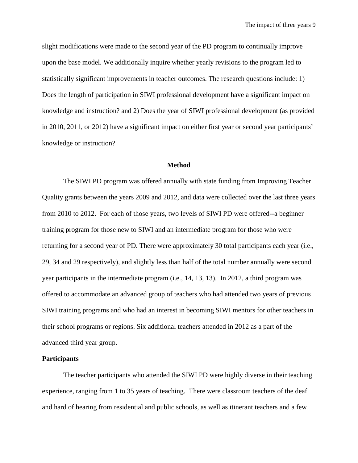slight modifications were made to the second year of the PD program to continually improve upon the base model. We additionally inquire whether yearly revisions to the program led to statistically significant improvements in teacher outcomes. The research questions include: 1) Does the length of participation in SIWI professional development have a significant impact on knowledge and instruction? and 2) Does the year of SIWI professional development (as provided in 2010, 2011, or 2012) have a significant impact on either first year or second year participants' knowledge or instruction?

#### **Method**

The SIWI PD program was offered annually with state funding from Improving Teacher Quality grants between the years 2009 and 2012, and data were collected over the last three years from 2010 to 2012. For each of those years, two levels of SIWI PD were offered--a beginner training program for those new to SIWI and an intermediate program for those who were returning for a second year of PD. There were approximately 30 total participants each year (i.e., 29, 34 and 29 respectively), and slightly less than half of the total number annually were second year participants in the intermediate program (i.e., 14, 13, 13). In 2012, a third program was offered to accommodate an advanced group of teachers who had attended two years of previous SIWI training programs and who had an interest in becoming SIWI mentors for other teachers in their school programs or regions. Six additional teachers attended in 2012 as a part of the advanced third year group.

#### **Participants**

The teacher participants who attended the SIWI PD were highly diverse in their teaching experience, ranging from 1 to 35 years of teaching. There were classroom teachers of the deaf and hard of hearing from residential and public schools, as well as itinerant teachers and a few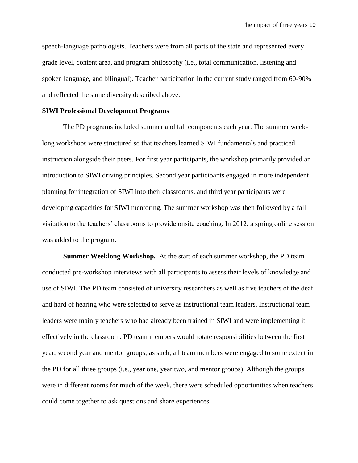speech-language pathologists. Teachers were from all parts of the state and represented every grade level, content area, and program philosophy (i.e., total communication, listening and spoken language, and bilingual). Teacher participation in the current study ranged from 60-90% and reflected the same diversity described above.

#### **SIWI Professional Development Programs**

The PD programs included summer and fall components each year. The summer weeklong workshops were structured so that teachers learned SIWI fundamentals and practiced instruction alongside their peers. For first year participants, the workshop primarily provided an introduction to SIWI driving principles. Second year participants engaged in more independent planning for integration of SIWI into their classrooms, and third year participants were developing capacities for SIWI mentoring. The summer workshop was then followed by a fall visitation to the teachers' classrooms to provide onsite coaching. In 2012, a spring online session was added to the program.

**Summer Weeklong Workshop.** At the start of each summer workshop, the PD team conducted pre-workshop interviews with all participants to assess their levels of knowledge and use of SIWI. The PD team consisted of university researchers as well as five teachers of the deaf and hard of hearing who were selected to serve as instructional team leaders. Instructional team leaders were mainly teachers who had already been trained in SIWI and were implementing it effectively in the classroom. PD team members would rotate responsibilities between the first year, second year and mentor groups; as such, all team members were engaged to some extent in the PD for all three groups (i.e., year one, year two, and mentor groups). Although the groups were in different rooms for much of the week, there were scheduled opportunities when teachers could come together to ask questions and share experiences.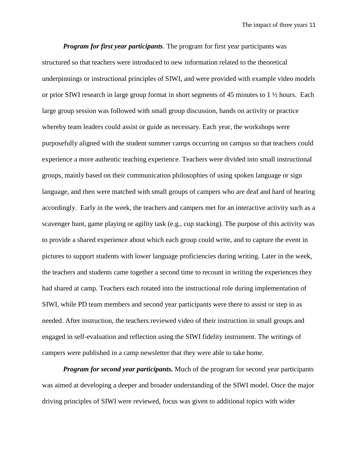*Program for first year participants*. The program for first year participants was structured so that teachers were introduced to new information related to the theoretical underpinnings or instructional principles of SIWI, and were provided with example video models or prior SIWI research in large group format in short segments of 45 minutes to 1 ½ hours. Each large group session was followed with small group discussion, hands on activity or practice whereby team leaders could assist or guide as necessary. Each year, the workshops were purposefully aligned with the student summer camps occurring on campus so that teachers could experience a more authentic teaching experience. Teachers were divided into small instructional groups, mainly based on their communication philosophies of using spoken language or sign language, and then were matched with small groups of campers who are deaf and hard of hearing accordingly. Early in the week, the teachers and campers met for an interactive activity such as a scavenger hunt, game playing or agility task (e.g., cup stacking). The purpose of this activity was to provide a shared experience about which each group could write, and to capture the event in pictures to support students with lower language proficiencies during writing. Later in the week, the teachers and students came together a second time to recount in writing the experiences they had shared at camp. Teachers each rotated into the instructional role during implementation of SIWI, while PD team members and second year participants were there to assist or step in as needed. After instruction, the teachers reviewed video of their instruction in small groups and engaged in self-evaluation and reflection using the SIWI fidelity instrument. The writings of campers were published in a camp newsletter that they were able to take home.

*Program for second year participants.* Much of the program for second year participants was aimed at developing a deeper and broader understanding of the SIWI model. Once the major driving principles of SIWI were reviewed, focus was given to additional topics with wider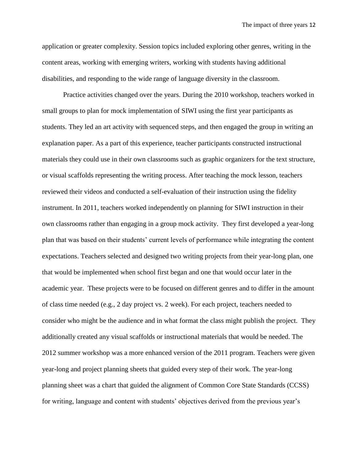application or greater complexity. Session topics included exploring other genres, writing in the content areas, working with emerging writers, working with students having additional disabilities, and responding to the wide range of language diversity in the classroom.

Practice activities changed over the years. During the 2010 workshop, teachers worked in small groups to plan for mock implementation of SIWI using the first year participants as students. They led an art activity with sequenced steps, and then engaged the group in writing an explanation paper. As a part of this experience, teacher participants constructed instructional materials they could use in their own classrooms such as graphic organizers for the text structure, or visual scaffolds representing the writing process. After teaching the mock lesson, teachers reviewed their videos and conducted a self-evaluation of their instruction using the fidelity instrument. In 2011, teachers worked independently on planning for SIWI instruction in their own classrooms rather than engaging in a group mock activity. They first developed a year-long plan that was based on their students' current levels of performance while integrating the content expectations. Teachers selected and designed two writing projects from their year-long plan, one that would be implemented when school first began and one that would occur later in the academic year. These projects were to be focused on different genres and to differ in the amount of class time needed (e.g., 2 day project vs. 2 week). For each project, teachers needed to consider who might be the audience and in what format the class might publish the project. They additionally created any visual scaffolds or instructional materials that would be needed. The 2012 summer workshop was a more enhanced version of the 2011 program. Teachers were given year-long and project planning sheets that guided every step of their work. The year-long planning sheet was a chart that guided the alignment of Common Core State Standards (CCSS) for writing, language and content with students' objectives derived from the previous year's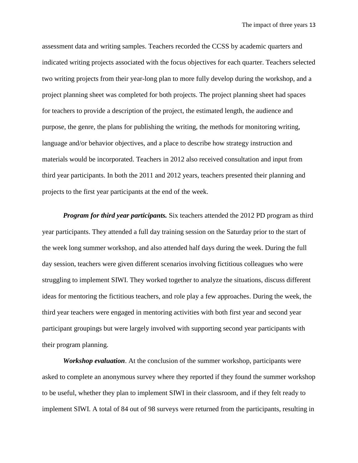assessment data and writing samples. Teachers recorded the CCSS by academic quarters and indicated writing projects associated with the focus objectives for each quarter. Teachers selected two writing projects from their year-long plan to more fully develop during the workshop, and a project planning sheet was completed for both projects. The project planning sheet had spaces for teachers to provide a description of the project, the estimated length, the audience and purpose, the genre, the plans for publishing the writing, the methods for monitoring writing, language and/or behavior objectives, and a place to describe how strategy instruction and materials would be incorporated. Teachers in 2012 also received consultation and input from third year participants. In both the 2011 and 2012 years, teachers presented their planning and projects to the first year participants at the end of the week.

*Program for third year participants.* Six teachers attended the 2012 PD program as third year participants. They attended a full day training session on the Saturday prior to the start of the week long summer workshop, and also attended half days during the week. During the full day session, teachers were given different scenarios involving fictitious colleagues who were struggling to implement SIWI. They worked together to analyze the situations, discuss different ideas for mentoring the fictitious teachers, and role play a few approaches. During the week, the third year teachers were engaged in mentoring activities with both first year and second year participant groupings but were largely involved with supporting second year participants with their program planning.

*Workshop evaluation*. At the conclusion of the summer workshop, participants were asked to complete an anonymous survey where they reported if they found the summer workshop to be useful, whether they plan to implement SIWI in their classroom, and if they felt ready to implement SIWI. A total of 84 out of 98 surveys were returned from the participants, resulting in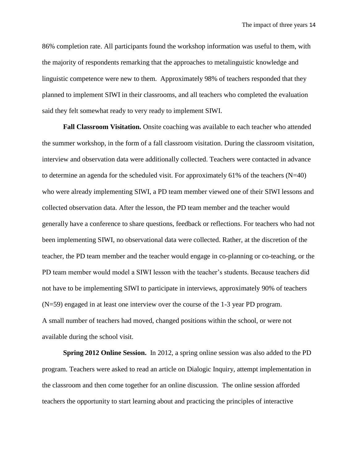86% completion rate. All participants found the workshop information was useful to them, with the majority of respondents remarking that the approaches to metalinguistic knowledge and linguistic competence were new to them. Approximately 98% of teachers responded that they planned to implement SIWI in their classrooms, and all teachers who completed the evaluation said they felt somewhat ready to very ready to implement SIWI.

**Fall Classroom Visitation.** Onsite coaching was available to each teacher who attended the summer workshop, in the form of a fall classroom visitation. During the classroom visitation, interview and observation data were additionally collected. Teachers were contacted in advance to determine an agenda for the scheduled visit. For approximately 61% of the teachers  $(N=40)$ who were already implementing SIWI, a PD team member viewed one of their SIWI lessons and collected observation data. After the lesson, the PD team member and the teacher would generally have a conference to share questions, feedback or reflections. For teachers who had not been implementing SIWI, no observational data were collected. Rather, at the discretion of the teacher, the PD team member and the teacher would engage in co-planning or co-teaching, or the PD team member would model a SIWI lesson with the teacher's students. Because teachers did not have to be implementing SIWI to participate in interviews, approximately 90% of teachers (N=59) engaged in at least one interview over the course of the 1-3 year PD program. A small number of teachers had moved, changed positions within the school, or were not available during the school visit.

**Spring 2012 Online Session.** In 2012, a spring online session was also added to the PD program. Teachers were asked to read an article on Dialogic Inquiry, attempt implementation in the classroom and then come together for an online discussion. The online session afforded teachers the opportunity to start learning about and practicing the principles of interactive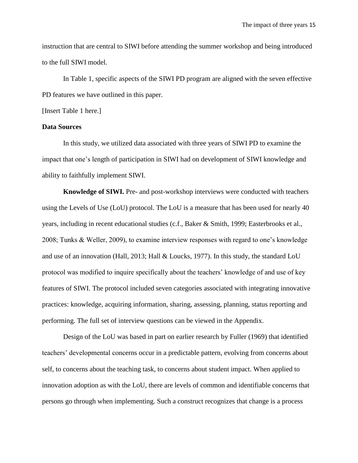instruction that are central to SIWI before attending the summer workshop and being introduced to the full SIWI model.

In Table 1, specific aspects of the SIWI PD program are aligned with the seven effective PD features we have outlined in this paper.

[Insert Table 1 here.]

#### **Data Sources**

In this study, we utilized data associated with three years of SIWI PD to examine the impact that one's length of participation in SIWI had on development of SIWI knowledge and ability to faithfully implement SIWI.

**Knowledge of SIWI.** Pre- and post-workshop interviews were conducted with teachers using the Levels of Use (LoU) protocol. The LoU is a measure that has been used for nearly 40 years, including in recent educational studies (c.f., Baker & Smith, 1999; Easterbrooks et al., 2008; Tunks & Weller, 2009), to examine interview responses with regard to one's knowledge and use of an innovation (Hall, 2013; Hall & Loucks, 1977). In this study, the standard LoU protocol was modified to inquire specifically about the teachers' knowledge of and use of key features of SIWI. The protocol included seven categories associated with integrating innovative practices: knowledge, acquiring information, sharing, assessing, planning, status reporting and performing. The full set of interview questions can be viewed in the Appendix.

Design of the LoU was based in part on earlier research by Fuller (1969) that identified teachers' developmental concerns occur in a predictable pattern, evolving from concerns about self, to concerns about the teaching task, to concerns about student impact. When applied to innovation adoption as with the LoU, there are levels of common and identifiable concerns that persons go through when implementing. Such a construct recognizes that change is a process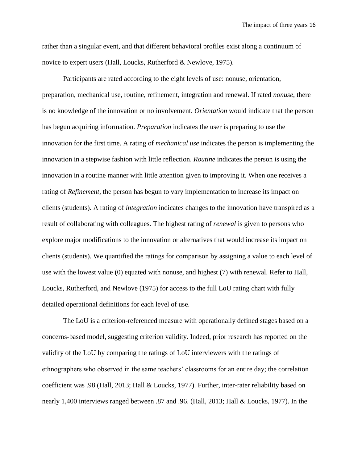rather than a singular event, and that different behavioral profiles exist along a continuum of novice to expert users (Hall, Loucks, Rutherford & Newlove, 1975).

Participants are rated according to the eight levels of use: nonuse, orientation, preparation, mechanical use, routine, refinement, integration and renewal. If rated *nonuse*, there is no knowledge of the innovation or no involvement. *Orientation* would indicate that the person has begun acquiring information. *Preparation* indicates the user is preparing to use the innovation for the first time. A rating of *mechanical use* indicates the person is implementing the innovation in a stepwise fashion with little reflection. *Routine* indicates the person is using the innovation in a routine manner with little attention given to improving it. When one receives a rating of *Refinement*, the person has begun to vary implementation to increase its impact on clients (students). A rating of *integration* indicates changes to the innovation have transpired as a result of collaborating with colleagues. The highest rating of *renewal* is given to persons who explore major modifications to the innovation or alternatives that would increase its impact on clients (students). We quantified the ratings for comparison by assigning a value to each level of use with the lowest value (0) equated with nonuse, and highest (7) with renewal. Refer to Hall, Loucks, Rutherford, and Newlove (1975) for access to the full LoU rating chart with fully detailed operational definitions for each level of use.

The LoU is a criterion-referenced measure with operationally defined stages based on a concerns-based model, suggesting criterion validity. Indeed, prior research has reported on the validity of the LoU by comparing the ratings of LoU interviewers with the ratings of ethnographers who observed in the same teachers' classrooms for an entire day; the correlation coefficient was .98 (Hall, 2013; Hall & Loucks, 1977). Further, inter-rater reliability based on nearly 1,400 interviews ranged between .87 and .96. (Hall, 2013; Hall & Loucks, 1977). In the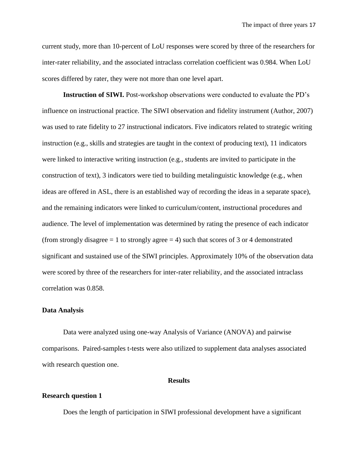current study, more than 10-percent of LoU responses were scored by three of the researchers for inter-rater reliability, and the associated intraclass correlation coefficient was 0.984. When LoU scores differed by rater, they were not more than one level apart.

**Instruction of SIWI.** Post-workshop observations were conducted to evaluate the PD's influence on instructional practice. The SIWI observation and fidelity instrument (Author, 2007) was used to rate fidelity to 27 instructional indicators. Five indicators related to strategic writing instruction (e.g., skills and strategies are taught in the context of producing text), 11 indicators were linked to interactive writing instruction (e.g., students are invited to participate in the construction of text), 3 indicators were tied to building metalinguistic knowledge (e.g., when ideas are offered in ASL, there is an established way of recording the ideas in a separate space), and the remaining indicators were linked to curriculum/content, instructional procedures and audience. The level of implementation was determined by rating the presence of each indicator (from strongly disagree  $= 1$  to strongly agree  $= 4$ ) such that scores of 3 or 4 demonstrated significant and sustained use of the SIWI principles. Approximately 10% of the observation data were scored by three of the researchers for inter-rater reliability, and the associated intraclass correlation was 0.858.

#### **Data Analysis**

Data were analyzed using one-way Analysis of Variance (ANOVA) and pairwise comparisons. Paired-samples t-tests were also utilized to supplement data analyses associated with research question one.

#### **Results**

#### **Research question 1**

Does the length of participation in SIWI professional development have a significant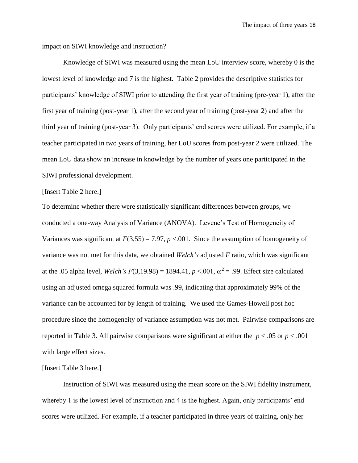impact on SIWI knowledge and instruction?

Knowledge of SIWI was measured using the mean LoU interview score, whereby 0 is the lowest level of knowledge and 7 is the highest. Table 2 provides the descriptive statistics for participants' knowledge of SIWI prior to attending the first year of training (pre-year 1), after the first year of training (post-year 1), after the second year of training (post-year 2) and after the third year of training (post-year 3). Only participants' end scores were utilized. For example, if a teacher participated in two years of training, her LoU scores from post-year 2 were utilized. The mean LoU data show an increase in knowledge by the number of years one participated in the SIWI professional development.

#### [Insert Table 2 here.]

To determine whether there were statistically significant differences between groups, we conducted a one-way Analysis of Variance (ANOVA). Levene's Test of Homogeneity of Variances was significant at  $F(3,55) = 7.97$ ,  $p < .001$ . Since the assumption of homogeneity of variance was not met for this data, we obtained *Welch's* adjusted *F* ratio, which was significant at the .05 alpha level, *Welch's F*(3,19.98) = 1894.41,  $p < 0.01$ ,  $\omega^2 = .99$ . Effect size calculated using an adjusted omega squared formula was .99, indicating that approximately 99% of the variance can be accounted for by length of training. We used the Games-Howell post hoc procedure since the homogeneity of variance assumption was not met. Pairwise comparisons are reported in Table 3. All pairwise comparisons were significant at either the  $p < .05$  or  $p < .001$ with large effect sizes.

#### [Insert Table 3 here.]

Instruction of SIWI was measured using the mean score on the SIWI fidelity instrument, whereby 1 is the lowest level of instruction and 4 is the highest. Again, only participants' end scores were utilized. For example, if a teacher participated in three years of training, only her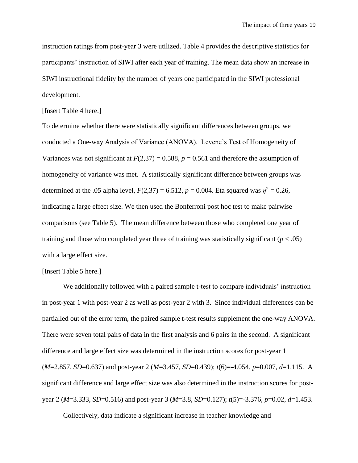instruction ratings from post-year 3 were utilized. Table 4 provides the descriptive statistics for participants' instruction of SIWI after each year of training. The mean data show an increase in SIWI instructional fidelity by the number of years one participated in the SIWI professional development.

#### [Insert Table 4 here.]

To determine whether there were statistically significant differences between groups, we conducted a One-way Analysis of Variance (ANOVA). Levene's Test of Homogeneity of Variances was not significant at  $F(2,37) = 0.588$ ,  $p = 0.561$  and therefore the assumption of homogeneity of variance was met. A statistically significant difference between groups was determined at the .05 alpha level,  $F(2,37) = 6.512$ ,  $p = 0.004$ . Eta squared was  $\eta^2 = 0.26$ , indicating a large effect size. We then used the Bonferroni post hoc test to make pairwise comparisons (see Table 5). The mean difference between those who completed one year of training and those who completed year three of training was statistically significant (*p* < .05) with a large effect size.

#### [Insert Table 5 here.]

We additionally followed with a paired sample t-test to compare individuals' instruction in post-year 1 with post-year 2 as well as post-year 2 with 3. Since individual differences can be partialled out of the error term, the paired sample t-test results supplement the one-way ANOVA. There were seven total pairs of data in the first analysis and 6 pairs in the second. A significant difference and large effect size was determined in the instruction scores for post-year 1 (*M*=2.857, *SD*=0.637) and post-year 2 (*M*=3.457, *SD*=0.439); *t*(6)=-4.054, *p*=0.007, *d*=1.115. A significant difference and large effect size was also determined in the instruction scores for postyear 2 (*M*=3.333, *SD*=0.516) and post-year 3 (*M*=3.8, *SD*=0.127); *t*(5)=-3.376, *p*=0.02, *d*=1.453.

Collectively, data indicate a significant increase in teacher knowledge and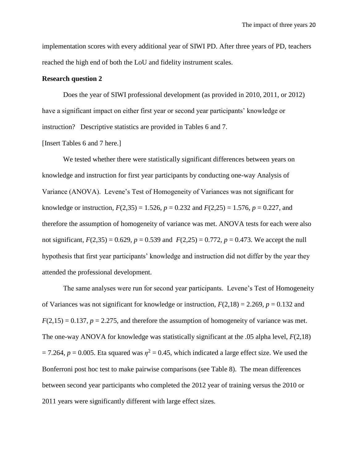implementation scores with every additional year of SIWI PD. After three years of PD, teachers reached the high end of both the LoU and fidelity instrument scales.

#### **Research question 2**

Does the year of SIWI professional development (as provided in 2010, 2011, or 2012) have a significant impact on either first year or second year participants' knowledge or instruction? Descriptive statistics are provided in Tables 6 and 7.

[Insert Tables 6 and 7 here.]

We tested whether there were statistically significant differences between years on knowledge and instruction for first year participants by conducting one-way Analysis of Variance (ANOVA). Levene's Test of Homogeneity of Variances was not significant for knowledge or instruction,  $F(2,35) = 1.526$ ,  $p = 0.232$  and  $F(2,25) = 1.576$ ,  $p = 0.227$ , and therefore the assumption of homogeneity of variance was met. ANOVA tests for each were also not significant,  $F(2,35) = 0.629$ ,  $p = 0.539$  and  $F(2,25) = 0.772$ ,  $p = 0.473$ . We accept the null hypothesis that first year participants' knowledge and instruction did not differ by the year they attended the professional development.

The same analyses were run for second year participants. Levene's Test of Homogeneity of Variances was not significant for knowledge or instruction,  $F(2,18) = 2.269$ ,  $p = 0.132$  and  $F(2,15) = 0.137$ ,  $p = 2.275$ , and therefore the assumption of homogeneity of variance was met. The one-way ANOVA for knowledge was statistically significant at the .05 alpha level, *F*(2,18)  $= 7.264$ ,  $p = 0.005$ . Eta squared was  $\eta^2 = 0.45$ , which indicated a large effect size. We used the Bonferroni post hoc test to make pairwise comparisons (see Table 8). The mean differences between second year participants who completed the 2012 year of training versus the 2010 or 2011 years were significantly different with large effect sizes.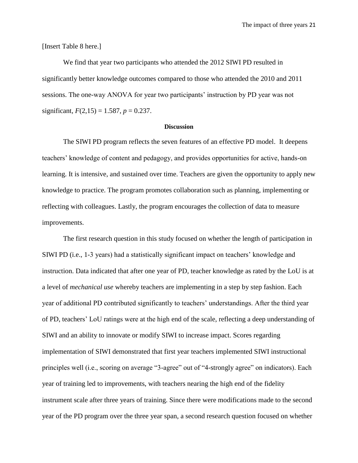[Insert Table 8 here.]

We find that year two participants who attended the 2012 SIWI PD resulted in significantly better knowledge outcomes compared to those who attended the 2010 and 2011 sessions. The one-way ANOVA for year two participants' instruction by PD year was not significant,  $F(2,15) = 1.587$ ,  $p = 0.237$ .

#### **Discussion**

The SIWI PD program reflects the seven features of an effective PD model. It deepens teachers' knowledge of content and pedagogy, and provides opportunities for active, hands-on learning. It is intensive, and sustained over time. Teachers are given the opportunity to apply new knowledge to practice. The program promotes collaboration such as planning, implementing or reflecting with colleagues. Lastly, the program encourages the collection of data to measure improvements.

The first research question in this study focused on whether the length of participation in SIWI PD (i.e., 1-3 years) had a statistically significant impact on teachers' knowledge and instruction. Data indicated that after one year of PD, teacher knowledge as rated by the LoU is at a level of *mechanical use* whereby teachers are implementing in a step by step fashion. Each year of additional PD contributed significantly to teachers' understandings. After the third year of PD, teachers' LoU ratings were at the high end of the scale, reflecting a deep understanding of SIWI and an ability to innovate or modify SIWI to increase impact. Scores regarding implementation of SIWI demonstrated that first year teachers implemented SIWI instructional principles well (i.e., scoring on average "3-agree" out of "4-strongly agree" on indicators). Each year of training led to improvements, with teachers nearing the high end of the fidelity instrument scale after three years of training. Since there were modifications made to the second year of the PD program over the three year span, a second research question focused on whether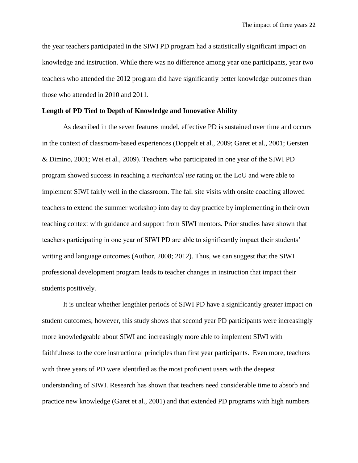the year teachers participated in the SIWI PD program had a statistically significant impact on knowledge and instruction. While there was no difference among year one participants, year two teachers who attended the 2012 program did have significantly better knowledge outcomes than those who attended in 2010 and 2011.

#### **Length of PD Tied to Depth of Knowledge and Innovative Ability**

As described in the seven features model, effective PD is sustained over time and occurs in the context of classroom-based experiences (Doppelt et al., 2009; Garet et al., 2001; Gersten & Dimino, 2001; Wei et al., 2009). Teachers who participated in one year of the SIWI PD program showed success in reaching a *mechanical use* rating on the LoU and were able to implement SIWI fairly well in the classroom. The fall site visits with onsite coaching allowed teachers to extend the summer workshop into day to day practice by implementing in their own teaching context with guidance and support from SIWI mentors. Prior studies have shown that teachers participating in one year of SIWI PD are able to significantly impact their students' writing and language outcomes (Author, 2008; 2012). Thus, we can suggest that the SIWI professional development program leads to teacher changes in instruction that impact their students positively.

It is unclear whether lengthier periods of SIWI PD have a significantly greater impact on student outcomes; however, this study shows that second year PD participants were increasingly more knowledgeable about SIWI and increasingly more able to implement SIWI with faithfulness to the core instructional principles than first year participants. Even more, teachers with three years of PD were identified as the most proficient users with the deepest understanding of SIWI. Research has shown that teachers need considerable time to absorb and practice new knowledge (Garet et al., 2001) and that extended PD programs with high numbers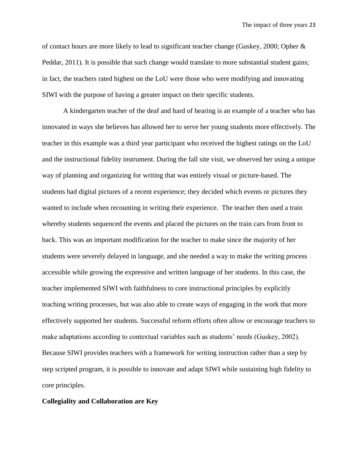of contact hours are more likely to lead to significant teacher change (Guskey, 2000; Opher & Peddar, 2011). It is possible that such change would translate to more substantial student gains; in fact, the teachers rated highest on the LoU were those who were modifying and innovating SIWI with the purpose of having a greater impact on their specific students.

A kindergarten teacher of the deaf and hard of hearing is an example of a teacher who has innovated in ways she believes has allowed her to serve her young students more effectively. The teacher in this example was a third year participant who received the highest ratings on the LoU and the instructional fidelity instrument. During the fall site visit, we observed her using a unique way of planning and organizing for writing that was entirely visual or picture-based. The students had digital pictures of a recent experience; they decided which events or pictures they wanted to include when recounting in writing their experience. The teacher then used a train whereby students sequenced the events and placed the pictures on the train cars from front to back. This was an important modification for the teacher to make since the majority of her students were severely delayed in language, and she needed a way to make the writing process accessible while growing the expressive and written language of her students. In this case, the teacher implemented SIWI with faithfulness to core instructional principles by explicitly teaching writing processes, but was also able to create ways of engaging in the work that more effectively supported her students. Successful reform efforts often allow or encourage teachers to make adaptations according to contextual variables such as students' needs (Guskey, 2002). Because SIWI provides teachers with a framework for writing instruction rather than a step by step scripted program, it is possible to innovate and adapt SIWI while sustaining high fidelity to core principles.

#### **Collegiality and Collaboration are Key**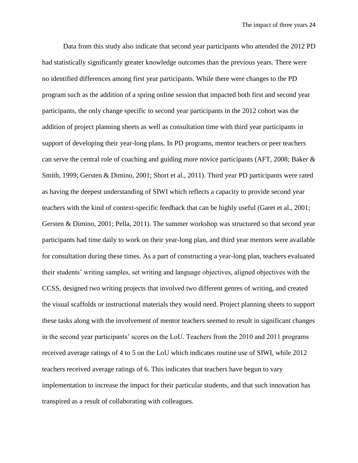Data from this study also indicate that second year participants who attended the 2012 PD had statistically significantly greater knowledge outcomes than the previous years. There were no identified differences among first year participants. While there were changes to the PD program such as the addition of a spring online session that impacted both first and second year participants, the only change specific to second year participants in the 2012 cohort was the addition of project planning sheets as well as consultation time with third year participants in support of developing their year-long plans. In PD programs, mentor teachers or peer teachers can serve the central role of coaching and guiding more novice participants (AFT, 2008; Baker & Smith, 1999; Gersten & Dimino, 2001; Short et al., 2011). Third year PD participants were rated as having the deepest understanding of SIWI which reflects a capacity to provide second year teachers with the kind of context-specific feedback that can be highly useful (Garet et al., 2001; Gersten & Dimino, 2001; Pella, 2011). The summer workshop was structured so that second year participants had time daily to work on their year-long plan, and third year mentors were available for consultation during these times. As a part of constructing a year-long plan, teachers evaluated their students' writing samples, set writing and language objectives, aligned objectives with the CCSS, designed two writing projects that involved two different genres of writing, and created the visual scaffolds or instructional materials they would need. Project planning sheets to support these tasks along with the involvement of mentor teachers seemed to result in significant changes in the second year participants' scores on the LoU. Teachers from the 2010 and 2011 programs received average ratings of 4 to 5 on the LoU which indicates routine use of SIWI, while 2012 teachers received average ratings of 6. This indicates that teachers have begun to vary implementation to increase the impact for their particular students, and that such innovation has transpired as a result of collaborating with colleagues.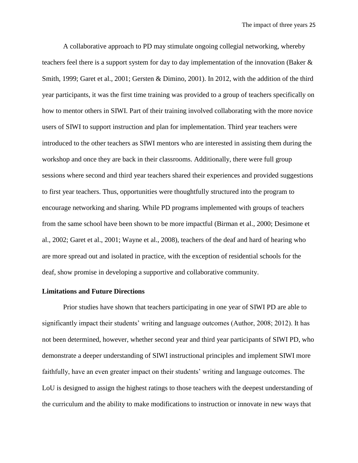A collaborative approach to PD may stimulate ongoing collegial networking, whereby teachers feel there is a support system for day to day implementation of the innovation (Baker & Smith, 1999; Garet et al., 2001; Gersten & Dimino, 2001). In 2012, with the addition of the third year participants, it was the first time training was provided to a group of teachers specifically on how to mentor others in SIWI. Part of their training involved collaborating with the more novice users of SIWI to support instruction and plan for implementation. Third year teachers were introduced to the other teachers as SIWI mentors who are interested in assisting them during the workshop and once they are back in their classrooms. Additionally, there were full group sessions where second and third year teachers shared their experiences and provided suggestions to first year teachers. Thus, opportunities were thoughtfully structured into the program to encourage networking and sharing. While PD programs implemented with groups of teachers from the same school have been shown to be more impactful (Birman et al., 2000; Desimone et al., 2002; Garet et al., 2001; Wayne et al., 2008), teachers of the deaf and hard of hearing who are more spread out and isolated in practice, with the exception of residential schools for the deaf, show promise in developing a supportive and collaborative community.

#### **Limitations and Future Directions**

Prior studies have shown that teachers participating in one year of SIWI PD are able to significantly impact their students' writing and language outcomes (Author, 2008; 2012). It has not been determined, however, whether second year and third year participants of SIWI PD, who demonstrate a deeper understanding of SIWI instructional principles and implement SIWI more faithfully, have an even greater impact on their students' writing and language outcomes. The LoU is designed to assign the highest ratings to those teachers with the deepest understanding of the curriculum and the ability to make modifications to instruction or innovate in new ways that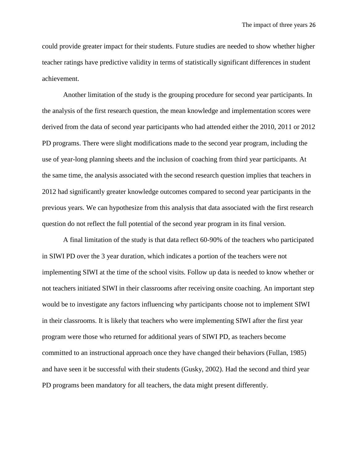could provide greater impact for their students. Future studies are needed to show whether higher teacher ratings have predictive validity in terms of statistically significant differences in student achievement.

Another limitation of the study is the grouping procedure for second year participants. In the analysis of the first research question, the mean knowledge and implementation scores were derived from the data of second year participants who had attended either the 2010, 2011 or 2012 PD programs. There were slight modifications made to the second year program, including the use of year-long planning sheets and the inclusion of coaching from third year participants. At the same time, the analysis associated with the second research question implies that teachers in 2012 had significantly greater knowledge outcomes compared to second year participants in the previous years. We can hypothesize from this analysis that data associated with the first research question do not reflect the full potential of the second year program in its final version.

A final limitation of the study is that data reflect 60-90% of the teachers who participated in SIWI PD over the 3 year duration, which indicates a portion of the teachers were not implementing SIWI at the time of the school visits. Follow up data is needed to know whether or not teachers initiated SIWI in their classrooms after receiving onsite coaching. An important step would be to investigate any factors influencing why participants choose not to implement SIWI in their classrooms. It is likely that teachers who were implementing SIWI after the first year program were those who returned for additional years of SIWI PD, as teachers become committed to an instructional approach once they have changed their behaviors (Fullan, 1985) and have seen it be successful with their students (Gusky, 2002). Had the second and third year PD programs been mandatory for all teachers, the data might present differently.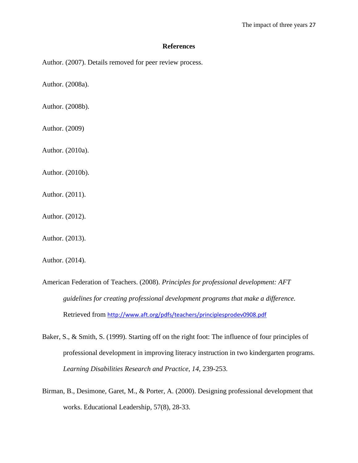#### **References**

Author. (2007). Details removed for peer review process.

Author. (2008a).

Author. (2008b).

Author. (2009)

Author. (2010a).

Author. (2010b).

Author. (2011).

Author. (2012).

Author. (2013).

Author. (2014).

- American Federation of Teachers. (2008). *Principles for professional development: AFT guidelines for creating professional development programs that make a difference.*  Retrieved from <http://www.aft.org/pdfs/teachers/principlesprodev0908.pdf>
- Baker, S., & Smith, S. (1999). Starting off on the right foot: The influence of four principles of professional development in improving literacy instruction in two kindergarten programs. *Learning Disabilities Research and Practice, 14,* 239-253.
- Birman, B., Desimone, Garet, M., & Porter, A. (2000). Designing professional development that works. Educational Leadership, 57(8), 28-33.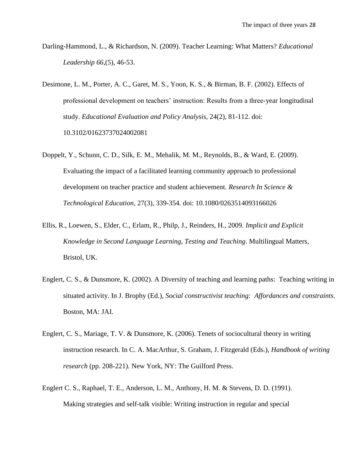- Darling-Hammond, L., & Richardson, N. (2009). Teacher Learning: What Matters? *Educational Leadership 66*,(5), 46-53.
- Desimone, L. M., Porter, A. C., Garet, M. S., Yoon, K. S., & Birman, B. F. (2002). Effects of professional development on teachers' instruction: Results from a three-year longitudinal study. *Educational Evaluation and Policy Analysis,* 24(2), 81-112. doi: 10.3102/01623737024002081
- Doppelt, Y., Schunn, C. D., Silk, E. M., Mehalik, M. M., Reynolds, B., & Ward, E. (2009). Evaluating the impact of a facilitated learning community approach to professional development on teacher practice and student achievement. *Research In Science & Technological Education*, 27(3), 339-354. doi: 10.1080/0263514093166026
- Ellis, R., Loewen, S., Elder, C., Erlam, R., Philp, J., Reinders, H., 2009. *Implicit and Explicit Knowledge in Second Language Learning, Testing and Teaching*. Multilingual Matters, Bristol, UK.
- Englert, C. S., & Dunsmore, K. (2002). A Diversity of teaching and learning paths: Teaching writing in situated activity. In J. Brophy (Ed.), *Social constructivist teaching: Affordances and constraints*. Boston, MA: JAI.
- Englert, C. S., Mariage, T. V. & Dunsmore, K. (2006). Tenets of sociocultural theory in writing instruction research. In C. A. MacArthur, S. Graham, J. Fitzgerald (Eds.), *Handbook of writing research* (pp. 208-221). New York, NY: The Guilford Press.
- Englert C. S., Raphael, T. E., Anderson, L. M., Anthony, H. M. & Stevens, D. D. (1991). Making strategies and self-talk visible: Writing instruction in regular and special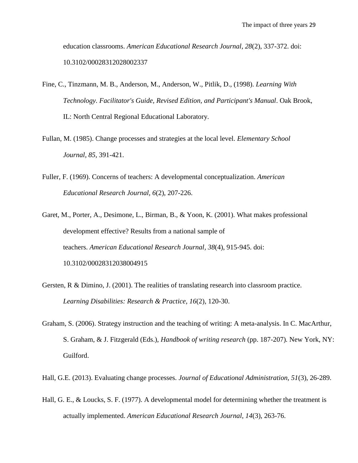education classrooms. *American Educational Research Journal, 28*(2), 337-372. doi: 10.3102/00028312028002337

- Fine, C., Tinzmann, M. B., Anderson, M., Anderson, W., Pitlik, D., (1998). *Learning With Technology. Facilitator's Guide, Revised Edition, and Participant's Manual*. Oak Brook, IL: North Central Regional Educational Laboratory.
- Fullan, M. (1985). Change processes and strategies at the local level. *Elementary School Journal*, *85*, 391-421.
- Fuller, F. (1969). Concerns of teachers: A developmental conceptualization. *American Educational Research Journal, 6*(2), 207-226.
- Garet, M., Porter, A., Desimone, L., Birman, B., & Yoon, K. (2001). What makes professional development effective? Results from a national sample of teachers. *American Educational Research Journal, 38*(4), 915-945. doi: 10.3102/00028312038004915
- Gersten, R & Dimino, J. (2001). The realities of translating research into classroom practice. *Learning Disabilities: Research & Practice*, *16*(2), 120-30.
- Graham, S. (2006). Strategy instruction and the teaching of writing: A meta-analysis. In C. MacArthur, S. Graham, & J. Fitzgerald (Eds.), *Handbook of writing research* (pp. 187-207)*.* New York, NY: Guilford.
- Hall, G.E. (2013). Evaluating change processes. *Journal of Educational Administration, 51*(3), 26-289.
- Hall, G. E., & Loucks, S. F. (1977). A developmental model for determining whether the treatment is actually implemented. *American Educational Research Journal, 14*(3), 263-76.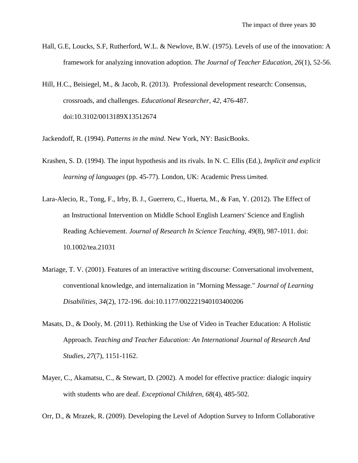- Hall, G.E, Loucks, S.F, Rutherford, W.L. & Newlove, B.W. (1975). Levels of use of the innovation: A framework for analyzing innovation adoption. *The Journal of Teacher Education, 26*(1), 52-56.
- Hill, H.C., Beisiegel, M., & Jacob, R. (2013). Professional development research: Consensus, crossroads, and challenges. *Educational Researcher, 42*, 476-487. doi:10.3102/0013189X13512674
- Jackendoff, R. (1994). *Patterns in the mind*. New York, NY: BasicBooks.
- Krashen, S. D. (1994). The input hypothesis and its rivals. In N. C. Ellis (Ed.), *Implicit and explicit learning of languages* (pp. 45-77). London, UK: Academic Press Limited.
- Lara-Alecio, R., Tong, F., Irby, B. J., Guerrero, C., Huerta, M., & Fan, Y. (2012). The Effect of an Instructional Intervention on Middle School English Learners' Science and English Reading Achievement. *Journal of Research In Science Teaching*, *49*(8), 987-1011. doi: 10.1002/tea.21031
- Mariage, T. V. (2001). Features of an interactive writing discourse: Conversational involvement, conventional knowledge, and internalization in "Morning Message." *Journal of Learning Disabilities, 34*(2), 172-196. doi:10.1177/002221940103400206
- Masats, D., & Dooly, M. (2011). Rethinking the Use of Video in Teacher Education: A Holistic Approach. *Teaching and Teacher Education: An International Journal of Research And Studies*, *27*(7), 1151-1162.
- Mayer, C., Akamatsu, C., & Stewart, D. (2002). A model for effective practice: dialogic inquiry with students who are deaf. *Exceptional Children, 68*(4), 485-502.

Orr, D., & Mrazek, R. (2009). Developing the Level of Adoption Survey to Inform Collaborative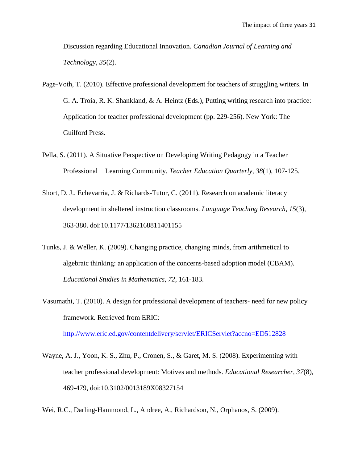Discussion regarding Educational Innovation. *Canadian Journal of Learning and Technology*, *35*(2).

- Page-Voth, T. (2010). Effective professional development for teachers of struggling writers. In G. A. Troia, R. K. Shankland, & A. Heintz (Eds.), Putting writing research into practice: Application for teacher professional development (pp. 229-256). New York: The Guilford Press.
- Pella, S. (2011). A Situative Perspective on Developing Writing Pedagogy in a Teacher Professional Learning Community. *Teacher Education Quarterly*, *38*(1), 107-125.
- Short, D. J., Echevarria, J. & Richards-Tutor, C. (2011). Research on academic literacy development in sheltered instruction classrooms. *Language Teaching Research, 15*(3), 363-380. doi:10.1177/1362168811401155
- Tunks, J. & Weller, K. (2009). Changing practice, changing minds, from arithmetical to algebraic thinking: an application of the concerns-based adoption model (CBAM). *Educational Studies in Mathematics, 72*, 161-183.
- Vasumathi, T. (2010). A design for professional development of teachers- need for new policy framework. Retrieved from ERIC:

<http://www.eric.ed.gov/contentdelivery/servlet/ERICServlet?accno=ED512828>

- Wayne, A. J., Yoon, K. S., Zhu, P., Cronen, S., & Garet, M. S. (2008). Experimenting with teacher professional development: Motives and methods. *Educational Researcher, 37*(8), 469-479, doi:10.3102/0013189X08327154
- Wei, R.C., Darling-Hammond, L., Andree, A., Richardson, N., Orphanos, S. (2009).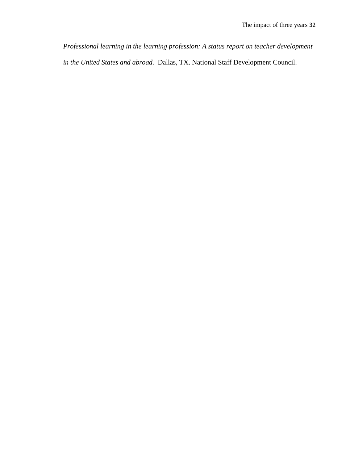*Professional learning in the learning profession: A status report on teacher development in the United States and abroad.* Dallas, TX. National Staff Development Council.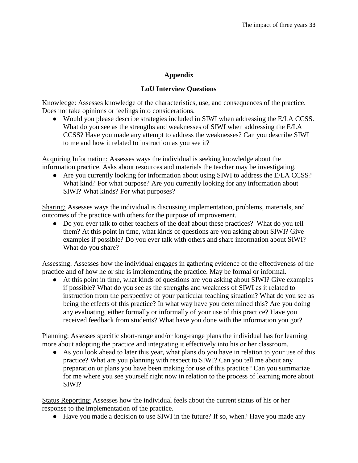### **Appendix**

#### **LoU Interview Questions**

Knowledge: Assesses knowledge of the characteristics, use, and consequences of the practice. Does not take opinions or feelings into considerations.

● Would you please describe strategies included in SIWI when addressing the E/LA CCSS. What do you see as the strengths and weaknesses of SIWI when addressing the E/LA CCSS? Have you made any attempt to address the weaknesses? Can you describe SIWI to me and how it related to instruction as you see it?

Acquiring Information: Assesses ways the individual is seeking knowledge about the information practice. Asks about resources and materials the teacher may be investigating.

• Are you currently looking for information about using SIWI to address the E/LA CCSS? What kind? For what purpose? Are you currently looking for any information about SIWI? What kinds? For what purposes?

Sharing: Assesses ways the individual is discussing implementation, problems, materials, and outcomes of the practice with others for the purpose of improvement.

• Do you ever talk to other teachers of the deaf about these practices? What do you tell them? At this point in time, what kinds of questions are you asking about SIWI? Give examples if possible? Do you ever talk with others and share information about SIWI? What do you share?

Assessing: Assesses how the individual engages in gathering evidence of the effectiveness of the practice and of how he or she is implementing the practice. May be formal or informal.

● At this point in time, what kinds of questions are you asking about SIWI? Give examples if possible? What do you see as the strengths and weakness of SIWI as it related to instruction from the perspective of your particular teaching situation? What do you see as being the effects of this practice? In what way have you determined this? Are you doing any evaluating, either formally or informally of your use of this practice? Have you received feedback from students? What have you done with the information you got?

Planning: Assesses specific short-range and/or long-range plans the individual has for learning more about adopting the practice and integrating it effectively into his or her classroom.

• As you look ahead to later this year, what plans do you have in relation to your use of this practice? What are you planning with respect to SIWI? Can you tell me about any preparation or plans you have been making for use of this practice? Can you summarize for me where you see yourself right now in relation to the process of learning more about SIWI?

Status Reporting: Assesses how the individual feels about the current status of his or her response to the implementation of the practice.

● Have you made a decision to use SIWI in the future? If so, when? Have you made any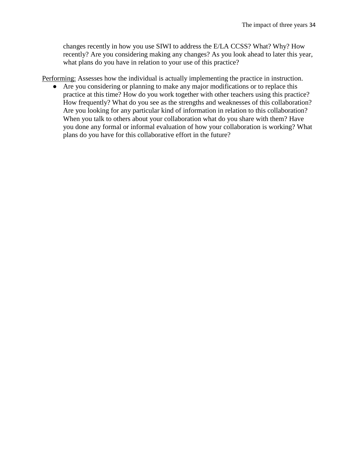changes recently in how you use SIWI to address the E/LA CCSS? What? Why? How recently? Are you considering making any changes? As you look ahead to later this year, what plans do you have in relation to your use of this practice?

Performing: Assesses how the individual is actually implementing the practice in instruction.

● Are you considering or planning to make any major modifications or to replace this practice at this time? How do you work together with other teachers using this practice? How frequently? What do you see as the strengths and weaknesses of this collaboration? Are you looking for any particular kind of information in relation to this collaboration? When you talk to others about your collaboration what do you share with them? Have you done any formal or informal evaluation of how your collaboration is working? What plans do you have for this collaborative effort in the future?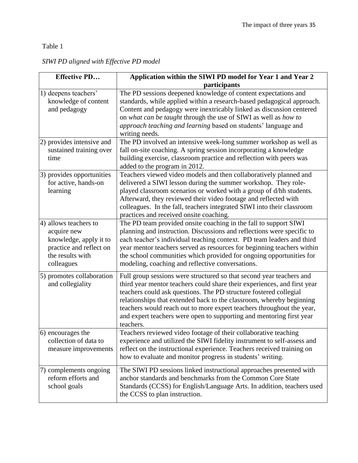# *SIWI PD aligned with Effective PD model*

| <b>Effective PD</b>                                                                                                         | Application within the SIWI PD model for Year 1 and Year 2                                                                                                                                                                                                                                                                                                                                                                                                  |  |  |
|-----------------------------------------------------------------------------------------------------------------------------|-------------------------------------------------------------------------------------------------------------------------------------------------------------------------------------------------------------------------------------------------------------------------------------------------------------------------------------------------------------------------------------------------------------------------------------------------------------|--|--|
|                                                                                                                             | participants                                                                                                                                                                                                                                                                                                                                                                                                                                                |  |  |
| 1) deepens teachers'<br>knowledge of content<br>and pedagogy                                                                | The PD sessions deepened knowledge of content expectations and<br>standards, while applied within a research-based pedagogical approach.<br>Content and pedagogy were inextricably linked as discussion centered<br>on what can be taught through the use of SIWI as well as how to<br>approach teaching and learning based on students' language and<br>writing needs.                                                                                     |  |  |
| 2) provides intensive and<br>sustained training over<br>time                                                                | The PD involved an intensive week-long summer workshop as well as<br>fall on-site coaching. A spring session incorporating a knowledge<br>building exercise, classroom practice and reflection with peers was<br>added to the program in 2012.                                                                                                                                                                                                              |  |  |
| 3) provides opportunities<br>for active, hands-on<br>learning                                                               | Teachers viewed video models and then collaboratively planned and<br>delivered a SIWI lesson during the summer workshop. They role-<br>played classroom scenarios or worked with a group of d/hh students.<br>Afterward, they reviewed their video footage and reflected with<br>colleagues. In the fall, teachers integrated SIWI into their classroom<br>practices and received onsite coaching.                                                          |  |  |
| 4) allows teachers to<br>acquire new<br>knowledge, apply it to<br>practice and reflect on<br>the results with<br>colleagues | The PD team provided onsite coaching in the fall to support SIWI<br>planning and instruction. Discussions and reflections were specific to<br>each teacher's individual teaching context. PD team leaders and third<br>year mentor teachers served as resources for beginning teachers within<br>the school communities which provided for ongoing opportunities for<br>modeling, coaching and reflective conversations.                                    |  |  |
| 5) promotes collaboration<br>and collegiality                                                                               | Full group sessions were structured so that second year teachers and<br>third year mentor teachers could share their experiences, and first year<br>teachers could ask questions. The PD structure fostered collegial<br>relationships that extended back to the classroom, whereby beginning<br>teachers would reach out to more expert teachers throughout the year,<br>and expert teachers were open to supporting and mentoring first year<br>teachers. |  |  |
| 6) encourages the<br>collection of data to<br>measure improvements                                                          | Teachers reviewed video footage of their collaborative teaching<br>experience and utilized the SIWI fidelity instrument to self-assess and<br>reflect on the instructional experience. Teachers received training on<br>how to evaluate and monitor progress in students' writing.                                                                                                                                                                          |  |  |
| 7) complements ongoing<br>reform efforts and<br>school goals                                                                | The SIWI PD sessions linked instructional approaches presented with<br>anchor standards and benchmarks from the Common Core State<br>Standards (CCSS) for English/Language Arts. In addition, teachers used<br>the CCSS to plan instruction.                                                                                                                                                                                                                |  |  |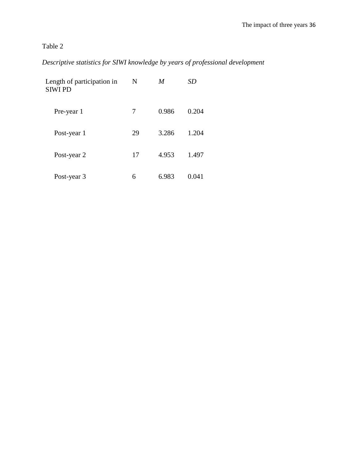# *Descriptive statistics for SIWI knowledge by years of professional development*

| Length of participation in<br><b>SIWIPD</b> | N  | M     | SD      |
|---------------------------------------------|----|-------|---------|
| Pre-year 1                                  | 7  | 0.986 | 0.204   |
| Post-year 1                                 | 29 | 3.286 | 1.204   |
| Post-year 2                                 | 17 | 4.953 | 1.497   |
| Post-year 3                                 | 6  | 6.983 | (1.041) |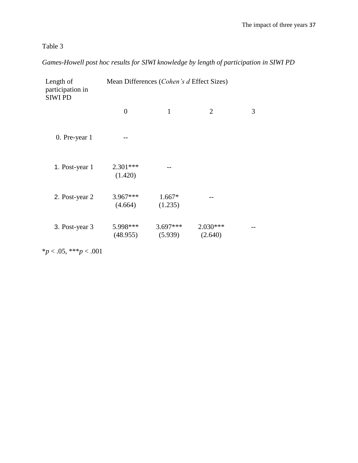# *Games-Howell post hoc results for SIWI knowledge by length of participation in SIWI PD*

| Length of<br>participation in<br><b>SIWIPD</b> | Mean Differences (Cohen's d Effect Sizes) |                     |                       |   |
|------------------------------------------------|-------------------------------------------|---------------------|-----------------------|---|
|                                                | $\overline{0}$                            | 1                   | $\overline{2}$        | 3 |
| 0. Pre-year 1                                  |                                           |                     |                       |   |
| 1. Post-year 1                                 | $2.301***$<br>(1.420)                     |                     |                       |   |
| 2. Post-year 2                                 | 3.967***<br>(4.664)                       | $1.667*$<br>(1.235) |                       |   |
| 3. Post-year 3                                 | 5.998***<br>(48.955)                      | 3.697***<br>(5.939) | $2.030***$<br>(2.640) |   |

\**p* < .05, \*\*\**p* < .001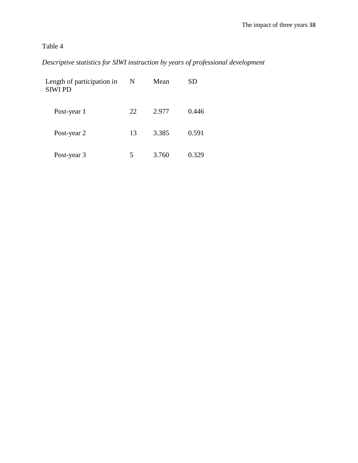# *Descriptive statistics for SIWI instruction by years of professional development*

| Length of participation in<br>SIWI PD | N  | Mean  | SD    |
|---------------------------------------|----|-------|-------|
| Post-year 1                           | 22 | 2.977 | 0.446 |
| Post-year 2                           | 13 | 3.385 | 0.591 |
| Post-year 3                           | 5  | 3.760 | 0.329 |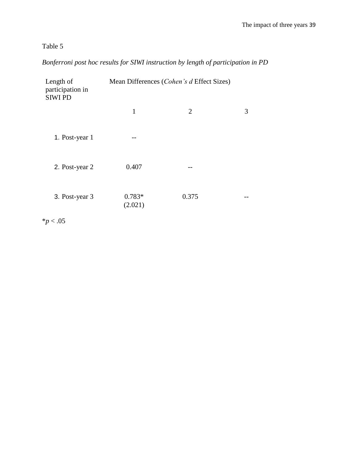# *Bonferroni post hoc results for SIWI instruction by length of participation in PD*

| Length of<br>participation in<br><b>SIWIPD</b> | Mean Differences (Cohen's d Effect Sizes) |                |   |
|------------------------------------------------|-------------------------------------------|----------------|---|
|                                                | 1                                         | $\overline{2}$ | 3 |
| 1. Post-year 1                                 |                                           |                |   |
| 2. Post-year 2                                 | 0.407                                     |                |   |
| 3. Post-year 3                                 | $0.783*$<br>(2.021)                       | 0.375          |   |

 $*p < .05$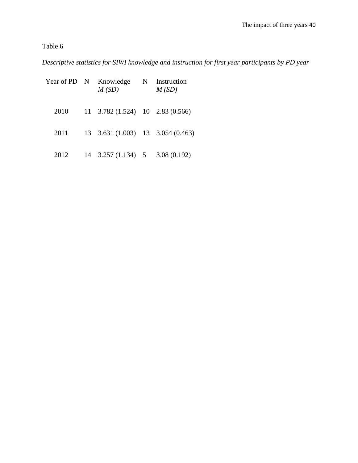*Descriptive statistics for SIWI knowledge and instruction for first year participants by PD year*

| Year of PD N | Knowledge<br>M(SD)                 | N Instruction<br>M(SD) |
|--------------|------------------------------------|------------------------|
| 2010         | $11$ 3.782 (1.524) 10 2.83 (0.566) |                        |
| 2011         | 13 3.631 (1.003) 13 3.054 (0.463)  |                        |
| 2012         | $14$ 3.257 (1.134) 5 3.08 (0.192)  |                        |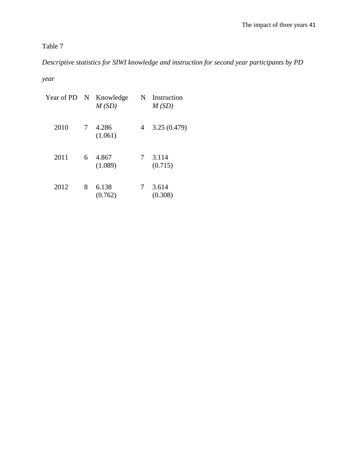# *Descriptive statistics for SIWI knowledge and instruction for second year participants by PD*

*year*

| Year of PD N |   | Knowledge<br>M(SD) | N | Instruction<br>M(SD) |
|--------------|---|--------------------|---|----------------------|
| 2010         | 7 | 4.286<br>(1.061)   | 4 | 3.25(0.479)          |
| 2011         | 6 | 4.867<br>(1.089)   | 7 | 3.114<br>(0.715)     |
| 2012         | 8 | 6.138<br>(0.762)   | 7 | 3.614<br>(0.308)     |